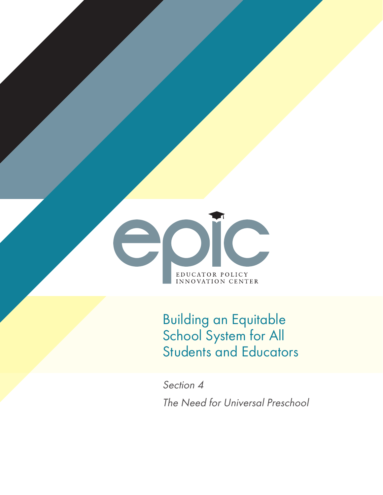

Building an Equitable School System for All Students and Educators

Section 4 The Need for Universal Preschool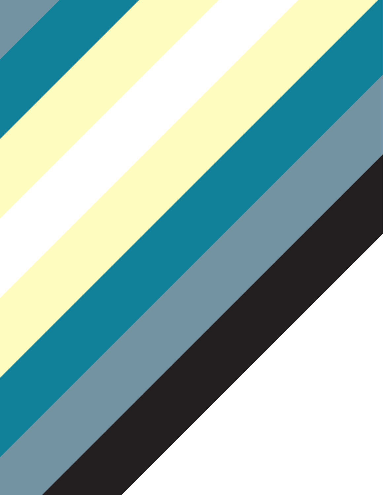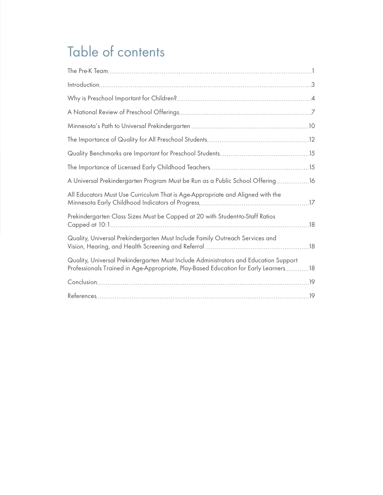# Table of contents

| Introduction, 3                                                                                                                                                             |  |
|-----------------------------------------------------------------------------------------------------------------------------------------------------------------------------|--|
|                                                                                                                                                                             |  |
|                                                                                                                                                                             |  |
|                                                                                                                                                                             |  |
|                                                                                                                                                                             |  |
|                                                                                                                                                                             |  |
|                                                                                                                                                                             |  |
| A Universal Prekindergarten Program Must be Run as a Public School Offering16                                                                                               |  |
| All Educators Must Use Curriculum That is Age-Appropriate and Aligned with the                                                                                              |  |
| Prekindergarten Class Sizes Must be Capped at 20 with Student-to-Staff Ratios                                                                                               |  |
| Quality, Universal Prekindergarten Must Include Family Outreach Services and                                                                                                |  |
| Quality, Universal Prekindergarten Must Include Administrators and Education Support<br>Professionals Trained in Age-Appropriate, Play-Based Education for Early Learners18 |  |
|                                                                                                                                                                             |  |
|                                                                                                                                                                             |  |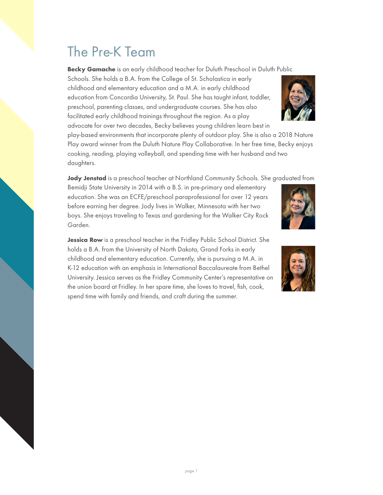### The Pre-K Team

**Becky Gamache** is an early childhood teacher for Duluth Preschool in Duluth Public

Schools. She holds a B.A. from the College of St. Scholastica in early childhood and elementary education and a M.A. in early childhood education from Concordia University, St. Paul. She has taught infant, toddler, preschool, parenting classes, and undergraduate courses. She has also facilitated early childhood trainings throughout the region. As a play advocate for over two decades, Becky believes young children learn best in

play-based environments that incorporate plenty of outdoor play. She is also a 2018 Nature Play award winner from the Duluth Nature Play Collaborative. In her free time, Becky enjoys cooking, reading, playing volleyball, and spending time with her husband and two daughters.

**Jody Jenstad** is a preschool teacher at Northland Community Schools. She graduated from

Bemidji State University in 2014 with a B.S. in pre-primary and elementary education. She was an ECFE/preschool paraprofessional for over 12 years before earning her degree. Jody lives in Walker, Minnesota with her two boys. She enjoys traveling to Texas and gardening for the Walker City Rock Garden.

**Jessica Row** is a preschool teacher in the Fridley Public School District. She holds a B.A. from the University of North Dakota, Grand Forks in early childhood and elementary education. Currently, she is pursuing a M.A. in K-12 education with an emphasis in International Baccalaureate from Bethel University. Jessica serves as the Fridley Community Center's representative on the union board at Fridley. In her spare time, she loves to travel, fish, cook, spend time with family and friends, and craft during the summer.



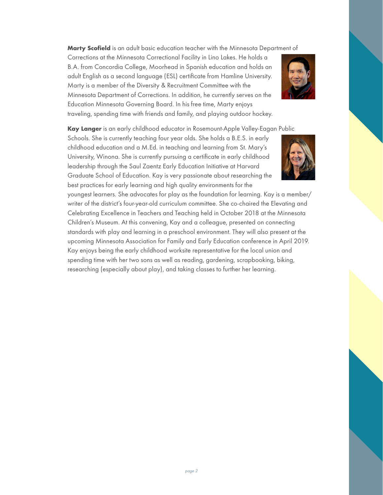**Marty Scofield** is an adult basic education teacher with the Minnesota Department of

Corrections at the Minnesota Correctional Facility in Lino Lakes. He holds a B.A. from Concordia College, Moorhead in Spanish education and holds an adult English as a second language (ESL) certificate from Hamline University. Marty is a member of the Diversity & Recruitment Committee with the Minnesota Department of Corrections. In addition, he currently serves on the Education Minnesota Governing Board. In his free time, Marty enjoys traveling, spending time with friends and family, and playing outdoor hockey.

**Kay Langer** is an early childhood educator in Rosemount-Apple Valley-Eagan Public

Schools. She is currently teaching four year olds. She holds a B.E.S. in early childhood education and a M.Ed. in teaching and learning from St. Mary's University, Winona. She is currently pursuing a certificate in early childhood leadership through the Saul Zaentz Early Education Initiative at Harvard Graduate School of Education. Kay is very passionate about researching the best practices for early learning and high quality environments for the

youngest learners. She advocates for play as the foundation for learning. Kay is a member/ writer of the district's four-year-old curriculum committee. She co-chaired the Elevating and Celebrating Excellence in Teachers and Teaching held in October 2018 at the Minnesota Children's Museum. At this convening, Kay and a colleague, presented on connecting standards with play and learning in a preschool environment. They will also present at the upcoming Minnesota Association for Family and Early Education conference in April 2019. Kay enjoys being the early childhood worksite representative for the local union and spending time with her two sons as well as reading, gardening, scrapbooking, biking, researching (especially about play), and taking classes to further her learning.



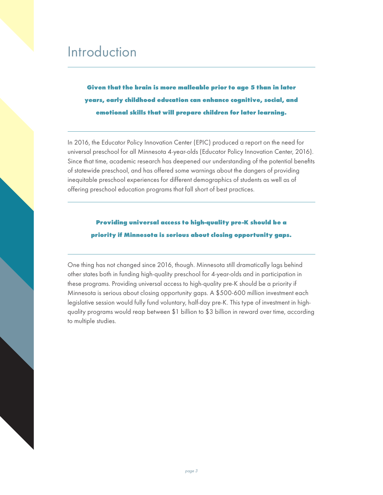### **Introduction**

**Given that the brain is more malleable prior to age 5 than in later years, early childhood education can enhance cognitive, social, and emotional skills that will prepare children for later learning.** 

In 2016, the Educator Policy Innovation Center (EPIC) produced a report on the need for universal preschool for all Minnesota 4-year-olds (Educator Policy Innovation Center, 2016). Since that time, academic research has deepened our understanding of the potential benefits of statewide preschool, and has offered some warnings about the dangers of providing inequitable preschool experiences for different demographics of students as well as of offering preschool education programs that fall short of best practices.

### **Providing universal access to high-quality pre-K should be a priority if Minnesota is serious about closing opportunity gaps.**

One thing has not changed since 2016, though. Minnesota still dramatically lags behind other states both in funding high-quality preschool for 4-year-olds and in participation in these programs. Providing universal access to high-quality pre-K should be a priority if Minnesota is serious about closing opportunity gaps. A \$500-600 million investment each legislative session would fully fund voluntary, half-day pre-K. This type of investment in highquality programs would reap between \$1 billion to \$3 billion in reward over time, according to multiple studies.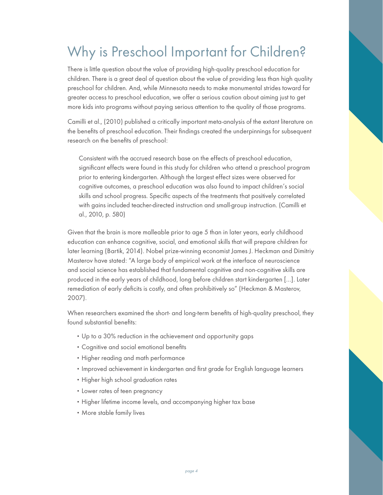# Why is Preschool Important for Children?

There is little question about the value of providing high-quality preschool education for children. There is a great deal of question about the value of providing less than high quality preschool for children. And, while Minnesota needs to make monumental strides toward far greater access to preschool education, we offer a serious caution about aiming just to get more kids into programs without paying serious attention to the quality of those programs.

Camilli et al., (2010) published a critically important meta-analysis of the extant literature on the benefits of preschool education. Their findings created the underpinnings for subsequent research on the benefits of preschool:

Consistent with the accrued research base on the effects of preschool education, significant effects were found in this study for children who attend a preschool program prior to entering kindergarten. Although the largest effect sizes were observed for cognitive outcomes, a preschool education was also found to impact children's social skills and school progress. Specific aspects of the treatments that positively correlated with gains included teacher-directed instruction and small-group instruction. (Camilli et al., 2010, p. 580)

Given that the brain is more malleable prior to age 5 than in later years, early childhood education can enhance cognitive, social, and emotional skills that will prepare children for later learning (Bartik, 2014). Nobel prize-winning economist James J. Heckman and Dimitriy Masterov have stated: "A large body of empirical work at the interface of neuroscience and social science has established that fundamental cognitive and non-cognitive skills are produced in the early years of childhood, long before children start kindergarten […]. Later remediation of early deficits is costly, and often prohibitively so" (Heckman & Masterov, 2007).

When researchers examined the short- and long-term benefits of high-quality preschool, they found substantial benefits:

- Up to a 30% reduction in the achievement and opportunity gaps
- Cognitive and social emotional benefits
- Higher reading and math performance
- •Improved achievement in kindergarten and first grade for English language learners
- Higher high school graduation rates
- •Lower rates of teen pregnancy
- •Higher lifetime income levels, and accompanying higher tax base
- More stable family lives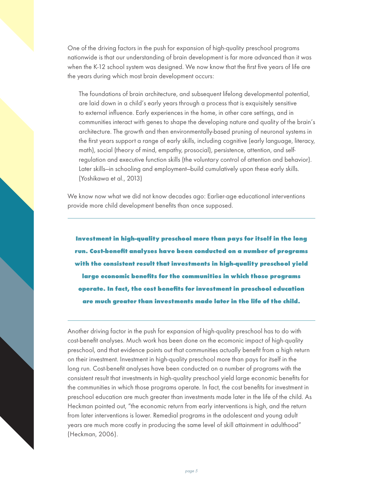One of the driving factors in the push for expansion of high-quality preschool programs nationwide is that our understanding of brain development is far more advanced than it was when the K-12 school system was designed. We now know that the first five years of life are the years during which most brain development occurs:

The foundations of brain architecture, and subsequent lifelong developmental potential, are laid down in a child's early years through a process that is exquisitely sensitive to external influence. Early experiences in the home, in other care settings, and in communities interact with genes to shape the developing nature and quality of the brain's architecture. The growth and then environmentally-based pruning of neuronal systems in the first years support a range of early skills, including cognitive (early language, literacy, math), social (theory of mind, empathy, prosocial), persistence, attention, and selfregulation and executive function skills (the voluntary control of attention and behavior). Later skills—in schooling and employment—build cumulatively upon these early skills. (Yoshikawa et al., 2013)

We know now what we did not know decades ago: Earlier-age educational interventions provide more child development benefits than once supposed.

**Investment in high-quality preschool more than pays for itself in the long run. Cost-benefit analyses have been conducted on a number of programs with the consistent result that investments in high-quality preschool yield large economic benefits for the communities in which those programs operate. In fact, the cost benefits for investment in preschool education are much greater than investments made later in the life of the child.**

Another driving factor in the push for expansion of high-quality preschool has to do with cost-benefit analyses. Much work has been done on the ecomonic impact of high-quality preschool, and that evidence points out that communities actually benefit from a high return on their investment. Investment in high-quality preschool more than pays for itself in the long run. Cost-benefit analyses have been conducted on a number of programs with the consistent result that investments in high-quality preschool yield large economic benefits for the communities in which those programs operate. In fact, the cost benefits for investment in preschool education are much greater than investments made later in the life of the child. As Heckman pointed out, "the economic return from early interventions is high, and the return from later interventions is lower. Remedial programs in the adolescent and young adult years are much more costly in producing the same level of skill attainment in adulthood" (Heckman, 2006).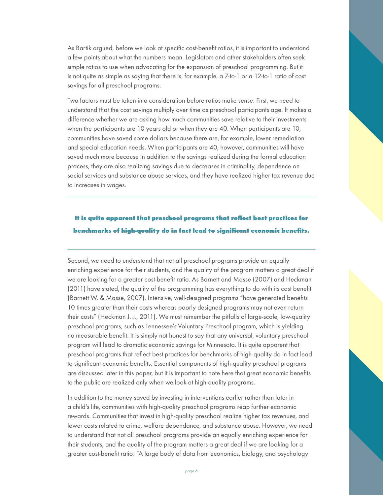As Bartik argued, before we look at specific cost-benefit ratios, it is important to understand a few points about what the numbers mean. Legislators and other stakeholders often seek simple ratios to use when advocating for the expansion of preschool programming. But it is not quite as simple as saying that there is, for example, a 7-to-1 or a 12-to-1 ratio of cost savings for all preschool programs.

Two factors must be taken into consideration before ratios make sense. First, we need to understand that the cost savings multiply over time as preschool participants age. It makes a difference whether we are asking how much communities save relative to their investments when the participants are 10 years old or when they are 40. When participants are 10, communities have saved some dollars because there are, for example, lower remediation and special education needs. When participants are 40, however, communities will have saved much more because in addition to the savings realized during the formal education process, they are also realizing savings due to decreases in criminality, dependence on social services and substance abuse services, and they have realized higher tax revenue due to increases in wages.

### **It is quite apparent that preschool programs that reflect best practices for benchmarks of high-quality do in fact lead to significant economic benefits.**

Second, we need to understand that not all preschool programs provide an equally enriching experience for their students, and the quality of the program matters a great deal if we are looking for a greater cost-benefit ratio. As Barnett and Masse (2007) and Heckman (2011) have stated, the quality of the programming has everything to do with its cost benefit (Barnett W. & Masse, 2007). Intensive, well-designed programs "have generated benefits 10 times greater than their costs whereas poorly designed programs may not even return their costs" (Heckman J. J., 2011). We must remember the pitfalls of large-scale, low-quality preschool programs, such as Tennessee's Voluntary Preschool program, which is yielding no measurable benefit. It is simply not honest to say that any universal, voluntary preschool program will lead to dramatic economic savings for Minnesota. It is quite apparent that preschool programs that reflect best practices for benchmarks of high-quality do in fact lead to significant economic benefits. Essential components of high-quality preschool programs are discussed later in this paper, but it is important to note here that great economic benefits to the public are realized only when we look at high-quality programs.

In addition to the money saved by investing in interventions earlier rather than later in a child's life, communities with high-quality preschool programs reap further economic rewards. Communities that invest in high-quality preschool realize higher tax revenues, and lower costs related to crime, welfare dependance, and substance abuse. However, we need to understand that not all preschool programs provide an equally enriching experience for their students, and the quality of the program matters a great deal if we are looking for a greater cost-benefit ratio: "A large body of data from economics, biology, and psychology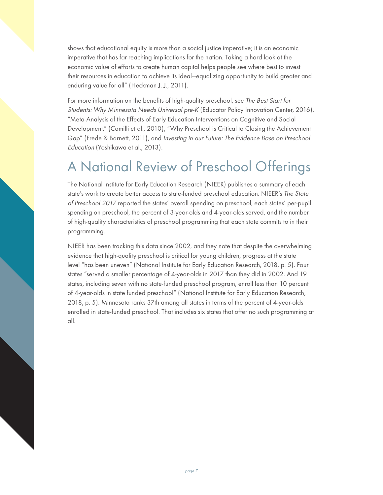shows that educational equity is more than a social justice imperative; it is an economic imperative that has far-reaching implications for the nation. Taking a hard look at the economic value of efforts to create human capital helps people see where best to invest their resources in education to achieve its ideal—equalizing opportunity to build greater and enduring value for all" (Heckman J. J., 2011).

For more information on the benefits of high-quality preschool, see The Best Start for Students: Why Minnesota Needs Universal pre-K (Educator Policy Innovation Center, 2016), "Meta-Analysis of the Effects of Early Education Interventions on Cognitive and Social Development," (Camilli et al., 2010), "Why Preschool is Critical to Closing the Achievement Gap" (Frede & Barnett, 2011), and Investing in our Future: The Evidence Base on Preschool Education (Yoshikawa et al., 2013).

# A National Review of Preschool Offerings

The National Institute for Early Education Research (NIEER) publishes a summary of each state's work to create better access to state-funded preschool education. NIEER's The State of Preschool 2017 reported the states' overall spending on preschool, each states' per-pupil spending on preschool, the percent of 3-year-olds and 4-year-olds served, and the number of high-quality characteristics of preschool programming that each state commits to in their programming.

NIEER has been tracking this data since 2002, and they note that despite the overwhelming evidence that high-quality preschool is critical for young children, progress at the state level "has been uneven" (National Institute for Early Education Research, 2018, p. 5). Four states "served a smaller percentage of 4-year-olds in 2017 than they did in 2002. And 19 states, including seven with no state-funded preschool program, enroll less than 10 percent of 4-year-olds in state funded preschool" (National Institute for Early Education Research, 2018, p. 5). Minnesota ranks 37th among all states in terms of the percent of 4-year-olds enrolled in state-funded preschool. That includes six states that offer no such programming at all.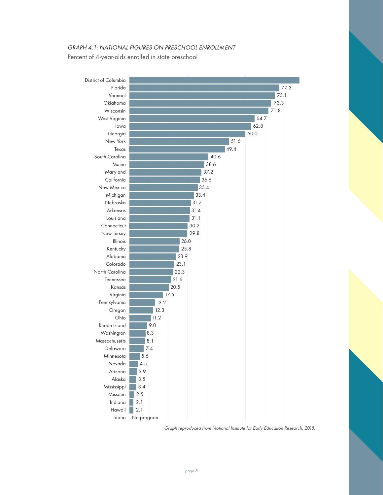### GRAPH 4.1: NATIONAL FIGURES ON PRESCHOOL ENROLLMENT

Percent of 4-year-olds enrolled in state preschool



Graph reproduced from National Institute for Early Education Research, 2018.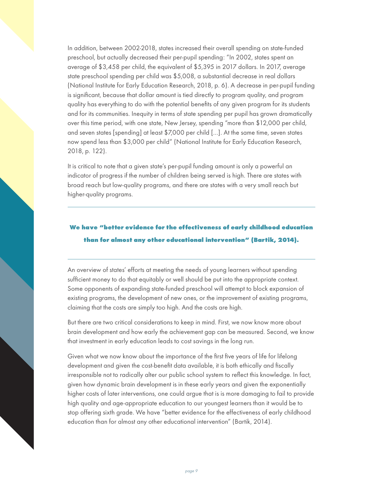In addition, between 2002-2018, states increased their overall spending on state-funded preschool, but actually decreased their per-pupil spending: "In 2002, states spent an average of \$3,458 per child, the equivalent of \$5,395 in 2017 dollars. In 2017, average state preschool spending per child was \$5,008, a substantial decrease in real dollars (National Institute for Early Education Research, 2018, p. 6). A decrease in per-pupil funding is significant, because that dollar amount is tied directly to program quality, and program quality has everything to do with the potential benefits of any given program for its students and for its communities. Inequity in terms of state spending per pupil has grown dramatically over this time period, with one state, New Jersey, spending "more than \$12,000 per child, and seven states [spending] at least \$7,000 per child […]. At the same time, seven states now spend less than \$3,000 per child" (National Institute for Early Education Research, 2018, p. 122).

It is critical to note that a given state's per-pupil funding amount is only a powerful an indicator of progress if the number of children being served is high. There are states with broad reach but low-quality programs, and there are states with a very small reach but higher-quality programs.

### **We have "better evidence for the effectiveness of early childhood education than for almost any other educational intervention" (Bartik, 2014).**

An overview of states' efforts at meeting the needs of young learners without spending sufficient money to do that equitably or well should be put into the appropriate context. Some opponents of expanding state-funded preschool will attempt to block expansion of existing programs, the development of new ones, or the improvement of existing programs, claiming that the costs are simply too high. And the costs are high.

But there are two critical considerations to keep in mind. First, we now know more about brain development and how early the achievement gap can be measured. Second, we know that investment in early education leads to cost savings in the long run.

Given what we now know about the importance of the first five years of life for lifelong development and given the cost-benefit data available, it is both ethically and fiscally irresponsible not to radically alter our public school system to reflect this knowledge. In fact, given how dynamic brain development is in these early years and given the exponentially higher costs of later interventions, one could argue that is is more damaging to fail to provide high quality and age-appropriate education to our youngest learners than it would be to stop offering sixth grade. We have "better evidence for the effectiveness of early childhood education than for almost any other educational intervention" (Bartik, 2014).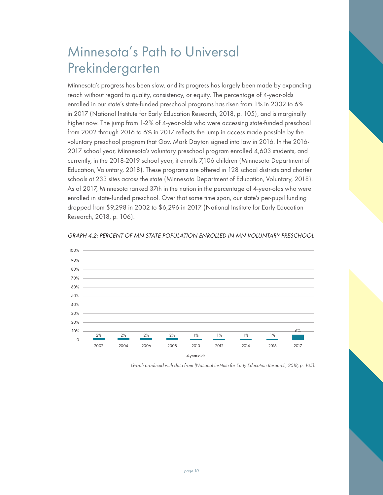### Minnesota's Path to Universal Prekindergarten

Minnesota's progress has been slow, and its progress has largely been made by expanding reach without regard to quality, consistency, or equity. The percentage of 4-year-olds enrolled in our state's state-funded preschool programs has risen from 1% in 2002 to 6% in 2017 (National Institute for Early Education Research, 2018, p. 105), and is marginally higher now. The jump from 1-2% of 4-year-olds who were accessing state-funded preschool from 2002 through 2016 to 6% in 2017 reflects the jump in access made possible by the voluntary preschool program that Gov. Mark Dayton signed into law in 2016. In the 2016- 2017 school year, Minnesota's voluntary preschool program enrolled 4,603 students, and currently, in the 2018-2019 school year, it enrolls 7,106 children (Minnesota Department of Education, Voluntary, 2018). These programs are offered in 128 school districts and charter schools at 233 sites across the state (Minnesota Department of Education, Voluntary, 2018). As of 2017, Minnesota ranked 37th in the nation in the percentage of 4-year-olds who were enrolled in state-funded preschool. Over that same time span, our state's per-pupil funding dropped from \$9,298 in 2002 to \$6,296 in 2017 (National Institute for Early Education Research, 2018, p. 106).



GRAPH 4.2: PERCENT OF MN STATE POPULATION ENROLLED IN MN VOLUNTARY PRESCHOOL

Graph produced with data from (National Institute for Early Education Research, 2018, p. 105).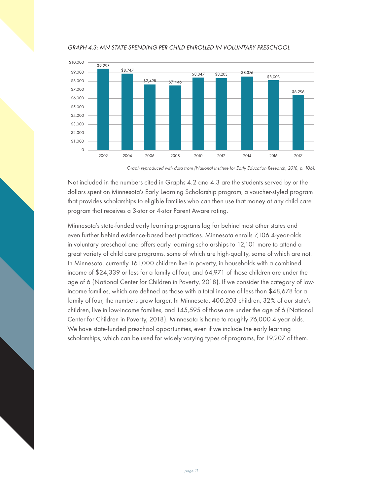

#### GRAPH 4.3: MN STATE SPENDING PER CHILD ENROLLED IN VOLUNTARY PRESCHOOL

Graph reproduced with data from (National Institute for Early Education Research, 2018, p. 106).

Not included in the numbers cited in Graphs 4.2 and 4.3 are the students served by or the dollars spent on Minnesota's Early Learning Scholarship program, a voucher-styled program that provides scholarships to eligible families who can then use that money at any child care program that receives a 3-star or 4-star Parent Aware rating.

Minnesota's state-funded early learning programs lag far behind most other states and even further behind evidence-based best practices. Minnesota enrolls 7,106 4-year-olds in voluntary preschool and offers early learning scholarships to 12,101 more to attend a great variety of child care programs, some of which are high-quality, some of which are not. In Minnesota, currently 161,000 children live in poverty, in households with a combined income of \$24,339 or less for a family of four, and 64,971 of those children are under the age of 6 (National Center for Children in Poverty, 2018). If we consider the category of lowincome families, which are defined as those with a total income of less than \$48,678 for a family of four, the numbers grow larger. In Minnesota, 400,203 children, 32% of our state's children, live in low-income families, and 145,595 of those are under the age of 6 (National Center for Children in Poverty, 2018). Minnesota is home to roughly 76,000 4-year-olds. We have state-funded preschool opportunities, even if we include the early learning scholarships, which can be used for widely varying types of programs, for 19,207 of them.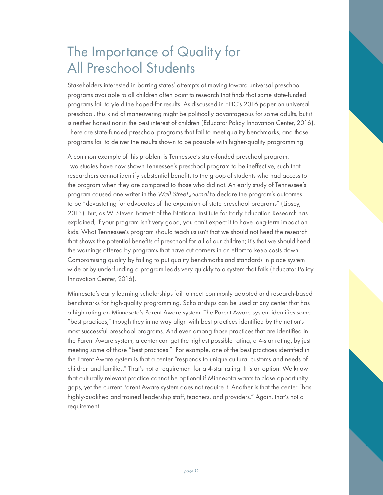### The Importance of Quality for All Preschool Students

Stakeholders interested in barring states' attempts at moving toward universal preschool programs available to all children often point to research that finds that some state-funded programs fail to yield the hoped-for results. As discussed in EPIC's 2016 paper on universal preschool, this kind of maneuvering might be politically advantageous for some adults, but it is neither honest nor in the best interest of children (Educator Policy Innovation Center, 2016). There are state-funded preschool programs that fail to meet quality benchmarks, and those programs fail to deliver the results shown to be possible with higher-quality programming.

A common example of this problem is Tennessee's state-funded preschool program. Two studies have now shown Tennessee's preschool program to be ineffective, such that researchers cannot identify substantial benefits to the group of students who had access to the program when they are compared to those who did not. An early study of Tennessee's program caused one writer in the Wall Street Journal to declare the program's outcomes to be "devastating for advocates of the expansion of state preschool programs" (Lipsey, 2013). But, as W. Steven Barnett of the National Institute for Early Education Research has explained, if your program isn't very good, you can't expect it to have long-term impact on kids. What Tennessee's program should teach us isn't that we should not heed the research that shows the potential benefits of preschool for all of our children; it's that we should heed the warnings offered by programs that have cut corners in an effort to keep costs down. Compromising quality by failing to put quality benchmarks and standards in place system wide or by underfunding a program leads very quickly to a system that fails (Educator Policy Innovation Center, 2016).

Minnesota's early learning scholarships fail to meet commonly adopted and research-based benchmarks for high-quality programming. Scholarships can be used at any center that has a high rating on Minnesota's Parent Aware system. The Parent Aware system identifies some "best practices," though they in no way align with best practices identified by the nation's most successful preschool programs. And even among those practices that are identified in the Parent Aware system, a center can get the highest possible rating, a 4-star rating, by just meeting some of those "best practices." For example, one of the best practices identified in the Parent Aware system is that a center "responds to unique cultural customs and needs of children and families." That's not a requirement for a 4-star rating. It is an option. We know that culturally relevant practice cannot be optional if Minnesota wants to close opportunity gaps, yet the current Parent Aware system does not require it. Another is that the center "has highly-qualified and trained leadership staff, teachers, and providers." Again, that's not a requirement.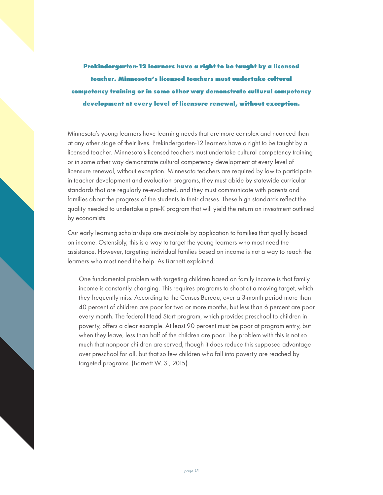**Prekindergarten-12 learners have a right to be taught by a licensed teacher. Minnesota's licensed teachers must undertake cultural competency training or in some other way demonstrate cultural competency development at every level of licensure renewal, without exception.**

Minnesota's young learners have learning needs that are more complex and nuanced than at any other stage of their lives. Prekindergarten-12 learners have a right to be taught by a licensed teacher. Minnesota's licensed teachers must undertake cultural competency training or in some other way demonstrate cultural competency development at every level of licensure renewal, without exception. Minnesota teachers are required by law to participate in teacher development and evaluation programs, they must abide by statewide curricular standards that are regularly re-evaluated, and they must communicate with parents and families about the progress of the students in their classes. These high standards reflect the quality needed to undertake a pre-K program that will yield the return on investment outlined by economists.

Our early learning scholarships are available by application to families that qualify based on income. Ostensibly, this is a way to target the young learners who most need the assistance. However, targeting individual famlies based on income is not a way to reach the learners who most need the help. As Barnett explained,

One fundamental problem with targeting children based on family income is that family income is constantly changing. This requires programs to shoot at a moving target, which they frequently miss. According to the Census Bureau, over a 3-month period more than 40 percent of children are poor for two or more months, but less than 6 percent are poor every month. The federal Head Start program, which provides preschool to children in poverty, offers a clear example. At least 90 percent must be poor at program entry, but when they leave, less than half of the children are poor. The problem with this is not so much that nonpoor children are served, though it does reduce this supposed advantage over preschool for all, but that so few children who fall into poverty are reached by targeted programs. (Barnett W. S., 2015)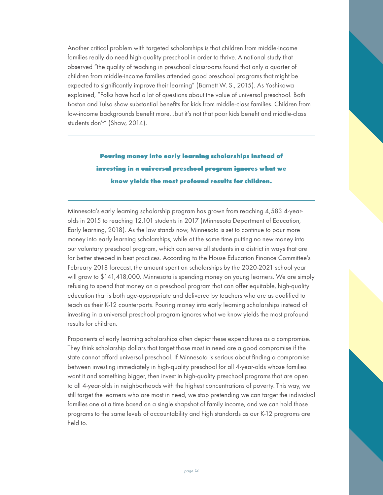Another critical problem with targeted scholarships is that children from middle-income families really do need high-quality preschool in order to thrive. A national study that observed "the quality of teaching in preschool classrooms found that only a quarter of children from middle-income families attended good preschool programs that might be expected to significantly improve their learning" (Barnett W. S., 2015). As Yoshikawa explained, "Folks have had a lot of questions about the value of universal preschool. Both Boston and Tulsa show substantial benefits for kids from middle-class families. Children from low-income backgrounds benefit more…but it's not that poor kids benefit and middle-class students don't" (Shaw, 2014).

### **Pouring money into early learning scholarships instead of investing in a universal preschool program ignores what we know yields the most profound results for children.**

Minnesota's early learning scholarship program has grown from reaching 4,583 4-yearolds in 2015 to reaching 12,101 students in 2017 (Minnesota Department of Education, Early learning, 2018). As the law stands now, Minnesota is set to continue to pour more money into early learning scholarships, while at the same time putting no new money into our voluntary preschool program, which can serve all students in a district in ways that are far better steeped in best practices. According to the House Education Finance Committee's February 2018 forecast, the amount spent on scholarships by the 2020-2021 school year will grow to \$141,418,000. Minnesota is spending money on young learners. We are simply refusing to spend that money on a preschool program that can offer equitable, high-quality education that is both age-appropriate and delivered by teachers who are as qualified to teach as their K-12 counterparts. Pouring money into early learning scholarships instead of investing in a universal preschool program ignores what we know yields the most profound results for children.

Proponents of early learning scholarships often depict these expenditures as a compromise. They think scholarship dollars that target those most in need are a good compromise if the state cannot afford universal preschool. If Minnesota is serious about finding a compromise between investing immediately in high-quality preschool for all 4-year-olds whose families want it and something bigger, then invest in high-quality preschool programs that are open to all 4-year-olds in neighborhoods with the highest concentrations of poverty. This way, we still target the learners who are most in need, we stop pretending we can target the individual families one at a time based on a single shapshot of family income, and we can hold those programs to the same levels of accountability and high standards as our K-12 programs are held to.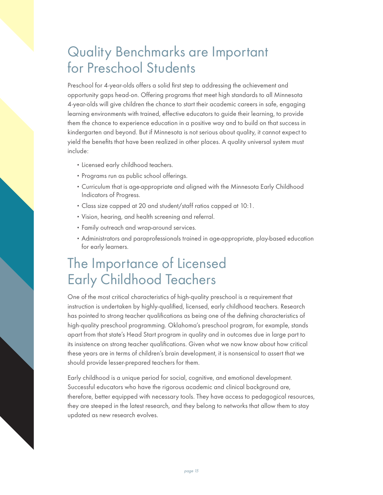### Quality Benchmarks are Important for Preschool Students

Preschool for 4-year-olds offers a solid first step to addressing the achievement and opportunity gaps head-on. Offering programs that meet high standards to all Minnesota 4-year-olds will give children the chance to start their academic careers in safe, engaging learning environments with trained, effective educators to guide their learning, to provide them the chance to experience education in a positive way and to build on that success in kindergarten and beyond. But if Minnesota is not serious about quality, it cannot expect to yield the benefits that have been realized in other places. A quality universal system must include:

- •Licensed early childhood teachers.
- Programs run as public school offerings.
- Curriculum that is age-appropriate and aligned with the Minnesota Early Childhood Indicators of Progress.
- Class size capped at 20 and student/staff ratios capped at 10:1.
- •Vision, hearing, and health screening and referral.
- •Family outreach and wrap-around services.
- Administrators and paraprofessionals trained in age-appropriate, play-based education for early learners.

## The Importance of Licensed Early Childhood Teachers

One of the most critical characteristics of high-quality preschool is a requirement that instruction is undertaken by highly-qualified, licensed, early childhood teachers. Research has pointed to strong teacher qualifications as being one of the defining characteristics of high-quality preschool programming. Oklahoma's preschool program, for example, stands apart from that state's Head Start program in quality and in outcomes due in large part to its insistence on strong teacher qualifications. Given what we now know about how critical these years are in terms of children's brain development, it is nonsensical to assert that we should provide lesser-prepared teachers for them.

Early childhood is a unique period for social, cognitive, and emotional development. Successful educators who have the rigorous academic and clinical background are, therefore, better equipped with necessary tools. They have access to pedagogical resources, they are steeped in the latest research, and they belong to networks that allow them to stay updated as new research evolves.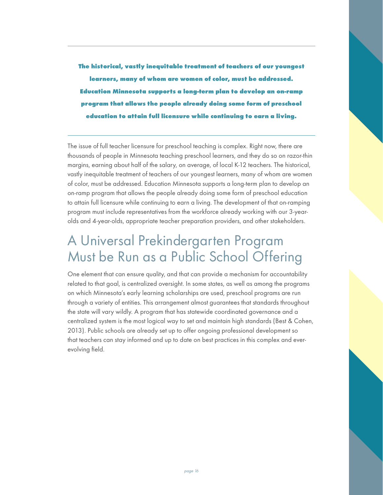**The historical, vastly inequitable treatment of teachers of our youngest learners, many of whom are women of color, must be addressed. Education Minnesota supports a long-term plan to develop an on-ramp program that allows the people already doing some form of preschool education to attain full licensure while continuing to earn a living.**

The issue of full teacher licensure for preschool teaching is complex. Right now, there are thousands of people in Minnesota teaching preschool learners, and they do so on razor-thin margins, earning about half of the salary, on average, of local K-12 teachers. The historical, vastly inequitable treatment of teachers of our youngest learners, many of whom are women of color, must be addressed. Education Minnesota supports a long-term plan to develop an on-ramp program that allows the people already doing some form of preschool education to attain full licensure while continuing to earn a living. The development of that on-ramping program must include representatives from the workforce already working with our 3-yearolds and 4-year-olds, appropriate teacher preparation providers, and other stakeholders.

### A Universal Prekindergarten Program Must be Run as a Public School Offering

One element that can ensure quality, and that can provide a mechanism for accountability related to that goal, is centralized oversight. In some states, as well as among the programs on which Minnesota's early learning scholarships are used, preschool programs are run through a variety of entities. This arrangement almost guarantees that standards throughout the state will vary wildly. A program that has statewide coordinated governance and a centralized system is the most logical way to set and maintain high standards (Best & Cohen, 2013). Public schools are already set up to offer ongoing professional development so that teachers can stay informed and up to date on best practices in this complex and everevolving field.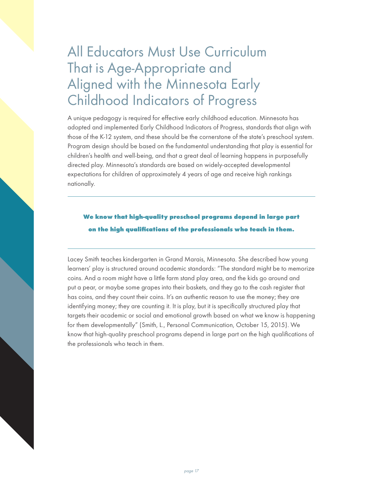# All Educators Must Use Curriculum That is Age-Appropriate and Aligned with the Minnesota Early Childhood Indicators of Progress

A unique pedagogy is required for effective early childhood education. Minnesota has adopted and implemented Early Childhood Indicators of Progress, standards that align with those of the K-12 system, and these should be the cornerstone of the state's preschool system. Program design should be based on the fundamental understanding that play is essential for children's health and well-being, and that a great deal of learning happens in purposefully directed play. Minnesota's standards are based on widely-accepted developmental expectations for children of approximately 4 years of age and receive high rankings nationally.

### **We know that high-quality preschool programs depend in large part on the high qualifications of the professionals who teach in them.**

Lacey Smith teaches kindergarten in Grand Marais, Minnesota. She described how young learners' play is structured around academic standards: "The standard might be to memorize coins. And a room might have a little farm stand play area, and the kids go around and put a pear, or maybe some grapes into their baskets, and they go to the cash register that has coins, and they count their coins. It's an authentic reason to use the money; they are identifying money; they are counting it. It is play, but it is specifically structured play that targets their academic or social and emotional growth based on what we know is happening for them developmentally" (Smith, L., Personal Communication, October 15, 2015). We know that high-quality preschool programs depend in large part on the high qualifications of the professionals who teach in them.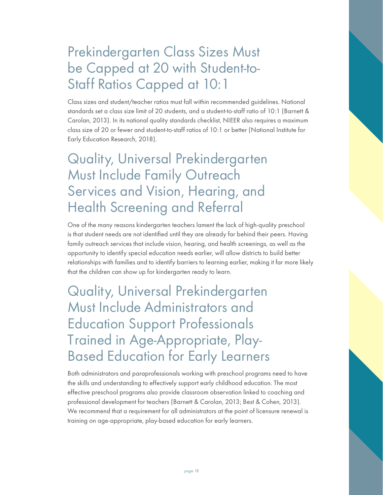# Prekindergarten Class Sizes Must be Capped at 20 with Student-to-Staff Ratios Capped at 10:1

Class sizes and student/teacher ratios must fall within recommended guidelines. National standards set a class size limit of 20 students, and a student-to-staff ratio of 10:1 (Barnett & Carolan, 2013). In its national quality standards checklist, NIEER also requires a maximum class size of 20 or fewer and student-to-staff ratios of 10:1 or better (National Institute for Early Education Research, 2018).

# Quality, Universal Prekindergarten Must Include Family Outreach Services and Vision, Hearing, and Health Screening and Referral

One of the many reasons kindergarten teachers lament the lack of high-quality preschool is that student needs are not identified until they are already far behind their peers. Having family outreach services that include vision, hearing, and health screenings, as well as the opportunity to identify special education needs earlier, will allow districts to build better relationships with families and to identify barriers to learning earlier, making it far more likely that the children can show up for kindergarten ready to learn.

Quality, Universal Prekindergarten Must Include Administrators and Education Support Professionals Trained in Age-Appropriate, Play-Based Education for Early Learners

Both administrators and paraprofessionals working with preschool programs need to have the skills and understanding to effectively support early childhood education. The most effective preschool programs also provide classroom observation linked to coaching and professional development for teachers (Barnett & Carolan, 2013; Best & Cohen, 2013). We recommend that a requirement for all administrators at the point of licensure renewal is training on age-appropriate, play-based education for early learners.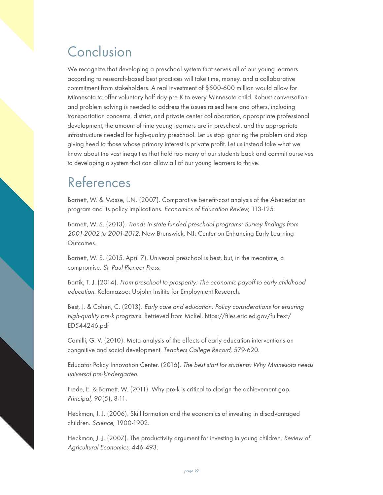# Conclusion

We recognize that developing a preschool system that serves all of our young learners according to research-based best practices will take time, money, and a collaborative commitment from stakeholders. A real investment of \$500-600 million would allow for Minnesota to offer voluntary half-day pre-K to every Minnesota child. Robust conversation and problem solving is needed to address the issues raised here and others, including transportation concerns, district, and private center collaboration, appropriate professional development, the amount of time young learners are in preschool, and the appropriate infrastructure needed for high-quality preschool. Let us stop ignoring the problem and stop giving heed to those whose primary interest is private profit. Let us instead take what we know about the vast inequities that hold too many of our students back and commit ourselves to developing a system that can allow all of our young learners to thrive.

### References

Barnett, W. & Masse, L.N. (2007). Comparative benefit-cost analysis of the Abecedarian program and its policy implications. Economics of Education Review, 113-125.

Barnett, W. S. (2013). Trends in state funded preschool programs: Survey findings from 2001-2002 to 2001-2012. New Brunswick, NJ: Center on Enhancing Early Learning Outcomes.

Barnett, W. S. (2015, April 7). Universal preschool is best, but, in the meantime, a compromise. St. Paul Pioneer Press.

Bartik, T. J. (2014). From preschool to prosperity: The economic payoff to early childhood education. Kalamazoo: Upjohn Insitite for Employment Research.

Best, J. & Cohen, C. (2013). Early care and education: Policy considerations for ensuring high-quality pre-k programs. Retrieved from McRel. https://files.eric.ed.gov/fulltext/ ED544246.pdf

Camilli, G. V. (2010). Meta-analysis of the effects of early education interventions on congnitive and social development. Teachers College Record, 579-620.

Educator Policy Innovation Center. (2016). The best start for students: Why Minnesota needs universal pre-kindergarten.

Frede, E. & Barnett, W. (2011). Why pre-k is critical to closign the achievement gap. Principal, 90(5), 8-11.

Heckman, J. J. (2006). Skill formation and the economics of investing in disadvantaged children. Science, 1900-1902.

Heckman, J. J. (2007). The productivity argument for investing in young children. Review of Agricultural Economics, 446-493.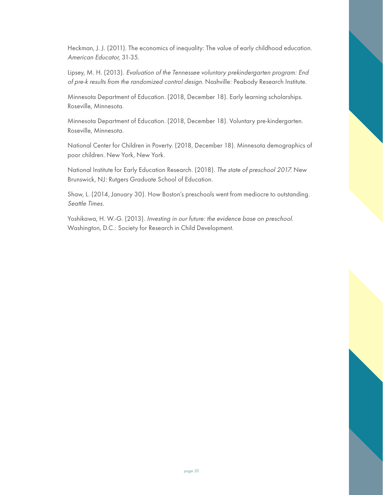Heckman, J. J. (2011). The economics of inequality: The value of early childhood education. American Educator, 31-35.

Lipsey, M. H. (2013). Evaluation of the Tennessee voluntary prekindergarten program: End of pre-k results from the randomized control design. Nashville: Peabody Research Institute.

Minnesota Department of Education. (2018, December 18). Early learning scholarships. Roseville, Minnesota.

Minnesota Department of Education. (2018, December 18). Voluntary pre-kindergarten. Roseville, Minnesota.

National Center for Children in Poverty. (2018, December 18). Minnesota demographics of poor children. New York, New York.

National Institute for Early Education Research. (2018). The state of preschool 2017. New Brunswick, NJ: Rutgers Graduate School of Education.

Shaw, L. (2014, January 30). How Boston's preschools went from mediocre to outstanding. Seattle Times.

Yoshikawa, H. W.-G. (2013). Investing in our future: the evidence base on preschool. Washington, D.C.: Society for Research in Child Development.